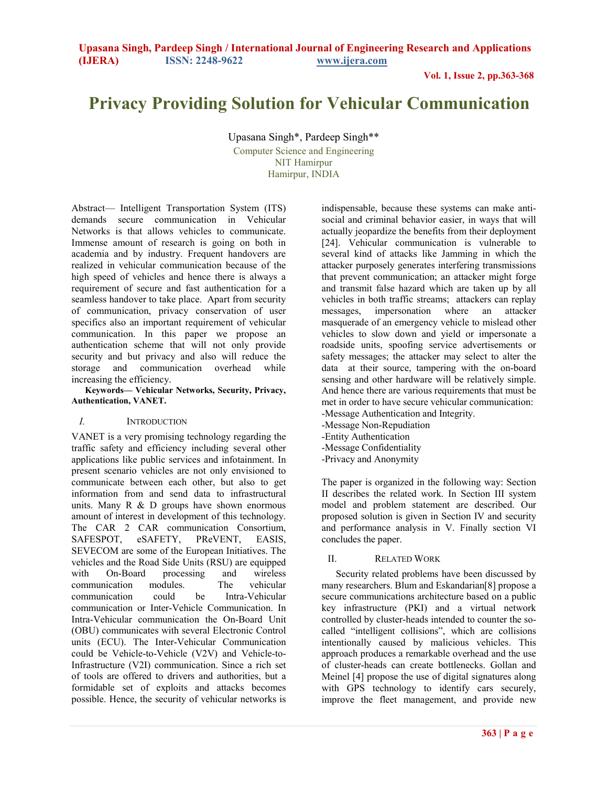**Vol. 1, Issue 2, pp.363-368**

# **Privacy Providing Solution for Vehicular Communication**

Upasana Singh\*, Pardeep Singh\*\*

Computer Science and Engineering NIT Hamirpur Hamirpur, INDIA

Abstract— Intelligent Transportation System (ITS) demands secure communication in Vehicular Networks is that allows vehicles to communicate. Immense amount of research is going on both in academia and by industry. Frequent handovers are realized in vehicular communication because of the high speed of vehicles and hence there is always a requirement of secure and fast authentication for a seamless handover to take place. Apart from security of communication, privacy conservation of user specifics also an important requirement of vehicular communication. In this paper we propose an authentication scheme that will not only provide security and but privacy and also will reduce the storage and communication overhead while increasing the efficiency.

#### **Keywords— Vehicular Networks, Security, Privacy, Authentication, VANET.**

## *I.* INTRODUCTION

VANET is a very promising technology regarding the traffic safety and efficiency including several other applications like public services and infotainment. In present scenario vehicles are not only envisioned to communicate between each other, but also to get information from and send data to infrastructural units. Many  $R \& D$  groups have shown enormous amount of interest in development of this technology. The CAR 2 CAR communication Consortium, SAFESPOT, eSAFETY, PReVENT, EASIS, SEVECOM are some of the European Initiatives. The vehicles and the Road Side Units (RSU) are equipped with On-Board processing and wireless communication modules. The vehicular communication could be Intra-Vehicular communication or Inter-Vehicle Communication. In Intra-Vehicular communication the On-Board Unit (OBU) communicates with several Electronic Control units (ECU). The Inter-Vehicular Communication could be Vehicle-to-Vehicle (V2V) and Vehicle-to-Infrastructure (V2I) communication. Since a rich set of tools are offered to drivers and authorities, but a formidable set of exploits and attacks becomes possible. Hence, the security of vehicular networks is

indispensable, because these systems can make antisocial and criminal behavior easier, in ways that will actually jeopardize the benefits from their deployment [24]. Vehicular communication is vulnerable to several kind of attacks like Jamming in which the attacker purposely generates interfering transmissions that prevent communication; an attacker might forge and transmit false hazard which are taken up by all vehicles in both traffic streams; attackers can replay messages, impersonation where an attacker masquerade of an emergency vehicle to mislead other vehicles to slow down and yield or impersonate a roadside units, spoofing service advertisements or safety messages; the attacker may select to alter the data at their source, tampering with the on-board sensing and other hardware will be relatively simple. And hence there are various requirements that must be met in order to have secure vehicular communication: -Message Authentication and Integrity. -Message Non-Repudiation

- -Entity Authentication
- -Message Confidentiality
- -Privacy and Anonymity

The paper is organized in the following way: Section II describes the related work. In Section III system model and problem statement are described. Our proposed solution is given in Section IV and security and performance analysis in V. Finally section VI concludes the paper.

## II. RELATED WORK

Security related problems have been discussed by many researchers. Blum and Eskandarian[8] propose a secure communications architecture based on a public key infrastructure (PKI) and a virtual network controlled by cluster-heads intended to counter the socalled "intelligent collisions", which are collisions intentionally caused by malicious vehicles. This approach produces a remarkable overhead and the use of cluster-heads can create bottlenecks. Gollan and Meinel [4] propose the use of digital signatures along with GPS technology to identify cars securely, improve the fleet management, and provide new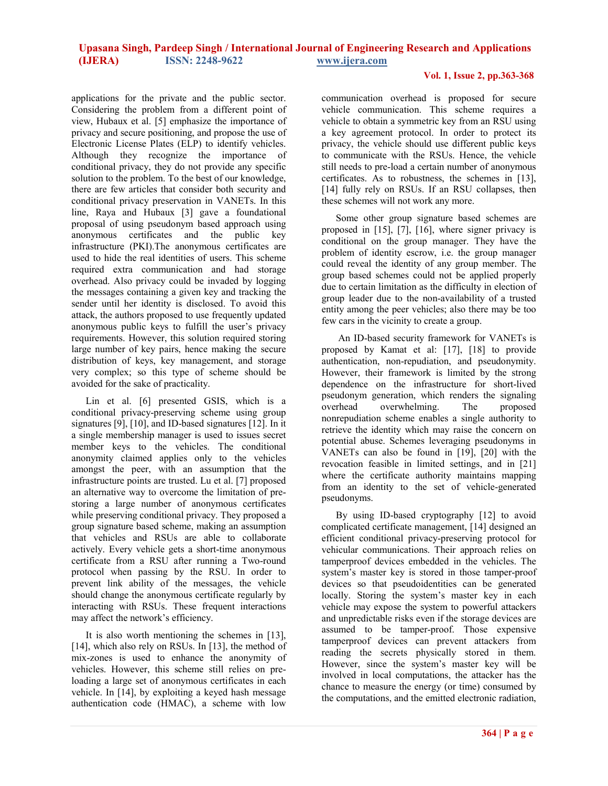## **Vol. 1, Issue 2, pp.363-368**

applications for the private and the public sector. Considering the problem from a different point of view, Hubaux et al. [5] emphasize the importance of privacy and secure positioning, and propose the use of Electronic License Plates (ELP) to identify vehicles. Although they recognize the importance of conditional privacy, they do not provide any specific solution to the problem. To the best of our knowledge, there are few articles that consider both security and conditional privacy preservation in VANETs. In this line, Raya and Hubaux [3] gave a foundational proposal of using pseudonym based approach using anonymous certificates and the public key infrastructure (PKI).The anonymous certificates are used to hide the real identities of users. This scheme required extra communication and had storage overhead. Also privacy could be invaded by logging the messages containing a given key and tracking the sender until her identity is disclosed. To avoid this attack, the authors proposed to use frequently updated anonymous public keys to fulfill the user's privacy requirements. However, this solution required storing large number of key pairs, hence making the secure distribution of keys, key management, and storage very complex; so this type of scheme should be avoided for the sake of practicality.

Lin et al. [6] presented GSIS, which is a conditional privacy-preserving scheme using group signatures [9], [10], and ID-based signatures [12]. In it a single membership manager is used to issues secret member keys to the vehicles. The conditional anonymity claimed applies only to the vehicles amongst the peer, with an assumption that the infrastructure points are trusted. Lu et al. [7] proposed an alternative way to overcome the limitation of prestoring a large number of anonymous certificates while preserving conditional privacy. They proposed a group signature based scheme, making an assumption that vehicles and RSUs are able to collaborate actively. Every vehicle gets a short-time anonymous certificate from a RSU after running a Two-round protocol when passing by the RSU. In order to prevent link ability of the messages, the vehicle should change the anonymous certificate regularly by interacting with RSUs. These frequent interactions may affect the network's efficiency.

It is also worth mentioning the schemes in [13], [14], which also rely on RSUs. In [13], the method of mix-zones is used to enhance the anonymity of vehicles. However, this scheme still relies on preloading a large set of anonymous certificates in each vehicle. In [14], by exploiting a keyed hash message authentication code (HMAC), a scheme with low

communication overhead is proposed for secure vehicle communication. This scheme requires a vehicle to obtain a symmetric key from an RSU using a key agreement protocol. In order to protect its privacy, the vehicle should use different public keys to communicate with the RSUs. Hence, the vehicle still needs to pre-load a certain number of anonymous certificates. As to robustness, the schemes in [13], [14] fully rely on RSUs. If an RSU collapses, then these schemes will not work any more.

Some other group signature based schemes are proposed in [15], [7], [16], where signer privacy is conditional on the group manager. They have the problem of identity escrow, i.e. the group manager could reveal the identity of any group member. The group based schemes could not be applied properly due to certain limitation as the difficulty in election of group leader due to the non-availability of a trusted entity among the peer vehicles; also there may be too few cars in the vicinity to create a group.

 An ID-based security framework for VANETs is proposed by Kamat et al: [17], [18] to provide authentication, non-repudiation, and pseudonymity. However, their framework is limited by the strong dependence on the infrastructure for short-lived pseudonym generation, which renders the signaling overhead overwhelming. The proposed nonrepudiation scheme enables a single authority to retrieve the identity which may raise the concern on potential abuse. Schemes leveraging pseudonyms in VANETs can also be found in [19], [20] with the revocation feasible in limited settings, and in [21] where the certificate authority maintains mapping from an identity to the set of vehicle-generated pseudonyms.

By using ID-based cryptography [12] to avoid complicated certificate management, [14] designed an efficient conditional privacy-preserving protocol for vehicular communications. Their approach relies on tamperproof devices embedded in the vehicles. The system's master key is stored in those tamper-proof devices so that pseudoidentities can be generated locally. Storing the system's master key in each vehicle may expose the system to powerful attackers and unpredictable risks even if the storage devices are assumed to be tamper-proof. Those expensive tamperproof devices can prevent attackers from reading the secrets physically stored in them. However, since the system's master key will be involved in local computations, the attacker has the chance to measure the energy (or time) consumed by the computations, and the emitted electronic radiation,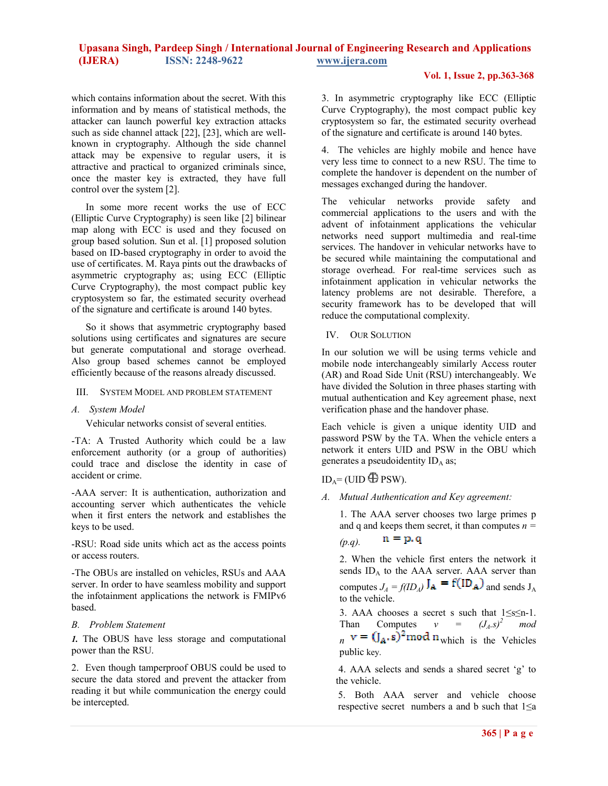## **Vol. 1, Issue 2, pp.363-368**

which contains information about the secret. With this information and by means of statistical methods, the attacker can launch powerful key extraction attacks such as side channel attack [22], [23], which are wellknown in cryptography. Although the side channel attack may be expensive to regular users, it is attractive and practical to organized criminals since, once the master key is extracted, they have full control over the system [2].

In some more recent works the use of ECC (Elliptic Curve Cryptography) is seen like [2] bilinear map along with ECC is used and they focused on group based solution. Sun et al. [1] proposed solution based on ID-based cryptography in order to avoid the use of certificates. M. Raya pints out the drawbacks of asymmetric cryptography as; using ECC (Elliptic Curve Cryptography), the most compact public key cryptosystem so far, the estimated security overhead of the signature and certificate is around 140 bytes.

So it shows that asymmetric cryptography based solutions using certificates and signatures are secure but generate computational and storage overhead. Also group based schemes cannot be employed efficiently because of the reasons already discussed.

#### III. SYSTEM MODEL AND PROBLEM STATEMENT

#### *A. System Model*

Vehicular networks consist of several entities.

-TA: A Trusted Authority which could be a law enforcement authority (or a group of authorities) could trace and disclose the identity in case of accident or crime.

-AAA server: It is authentication, authorization and accounting server which authenticates the vehicle when it first enters the network and establishes the keys to be used.

-RSU: Road side units which act as the access points or access routers.

-The OBUs are installed on vehicles, RSUs and AAA server. In order to have seamless mobility and support the infotainment applications the network is FMIPv6 based.

## *B. Problem Statement*

*1.* The OBUS have less storage and computational power than the RSU.

2. Even though tamperproof OBUS could be used to secure the data stored and prevent the attacker from reading it but while communication the energy could be intercepted.

3. In asymmetric cryptography like ECC (Elliptic Curve Cryptography), the most compact public key cryptosystem so far, the estimated security overhead of the signature and certificate is around 140 bytes.

4. The vehicles are highly mobile and hence have very less time to connect to a new RSU. The time to complete the handover is dependent on the number of messages exchanged during the handover.

The vehicular networks provide safety and commercial applications to the users and with the advent of infotainment applications the vehicular networks need support multimedia and real-time services. The handover in vehicular networks have to be secured while maintaining the computational and storage overhead. For real-time services such as infotainment application in vehicular networks the latency problems are not desirable. Therefore, a security framework has to be developed that will reduce the computational complexity.

#### IV. OUR SOLUTION

In our solution we will be using terms vehicle and mobile node interchangeably similarly Access router (AR) and Road Side Unit (RSU) interchangeably. We have divided the Solution in three phases starting with mutual authentication and Key agreement phase, next verification phase and the handover phase.

Each vehicle is given a unique identity UID and password PSW by the TA. When the vehicle enters a network it enters UID and PSW in the OBU which generates a pseudoidentity  $ID_A$  as;

## $ID_A = (UID \bigoplus PSW).$

*A. Mutual Authentication and Key agreement:* 

1. The AAA server chooses two large primes p and q and keeps them secret, it than computes  $n =$ 

$$
(p.q). \qquad \mathbf{n} = \mathbf{p}, \mathbf{q}
$$

2. When the vehicle first enters the network it sends ID<sub>A</sub> to the AAA server. AAA server than computes  $J_A = f(ID_A)$   $J_A = f(ID_A)$  and sends  $J_A$ to the vehicle.

3. AAA chooses a secret s such that 1≤s≤n-1. Than Computes  $v = (J_A.s)^2 \mod a$  $n \times - \mathbf{U}_A \cdot \mathbf{S}$  mod  $\mathbf{u}_{\text{which}}$  is the Vehicles public key.

 4. AAA selects and sends a shared secret 'g' to the vehicle.

5. Both AAA server and vehicle choose respective secret numbers a and b such that  $1\leq a$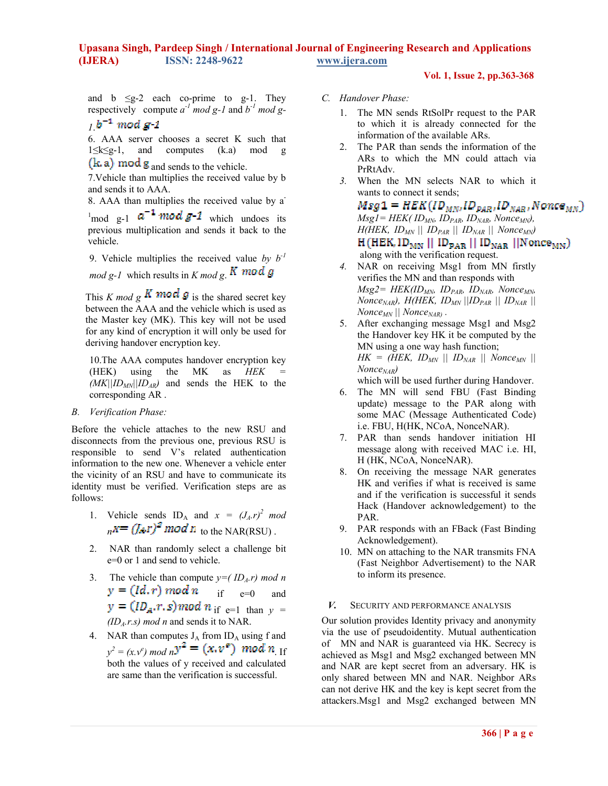**Vol. 1, Issue 2, pp.363-368**

and b  $\leq g-2$  each co-prime to g-1. They respectively compute  $a^{-1}$  mod g-1 and  $b^{-1}$  mod g-

$$
1.^{b^{-1} \bmod g-1}
$$

6. AAA server chooses a secret K such that 1≤k≤g-1, and computes (k.a) mod g  $(k.a) \mod g$  and sends to the vehicle.

7.Vehicle than multiplies the received value by b and sends it to AAA.

8. AAA than multiplies the received value by a-

<sup>1</sup>mod g-1  $a^{-1}$  mod g-1 which undoes its previous multiplication and sends it back to the vehicle.

9. Vehicle multiplies the received value by  $b^{-1}$  $mod\ g-1$  which results in  $K \mod g$ . **K** mod g

This *K* mod g **K** mod g is the shared secret key between the AAA and the vehicle which is used as the Master key (MK). This key will not be used for any kind of encryption it will only be used for deriving handover encryption key.

10.The AAA computes handover encryption key  $(HEK)$  using the MK as  $HEK$  $(MK||ID_{MN}||ID_{AR})$  and sends the HEK to the corresponding AR .

## *B. Verification Phase:*

Before the vehicle attaches to the new RSU and disconnects from the previous one, previous RSU is responsible to send V's related authentication information to the new one. Whenever a vehicle enter the vicinity of an RSU and have to communicate its identity must be verified. Verification steps are as follows:

- 1. Vehicle sends  $ID_A$  and  $x = (J_A.r)^2$  mod  $n = (f_{\mathcal{A}}r)^2$  *mod n* to the NAR(RSU).
- 2. NAR than randomly select a challenge bit e=0 or 1 and send to vehicle.
- 3. The vehicle than compute  $y = (ID_A.r) \mod n$  $y = (Id, r) \mod n$  if e=0 and  $y = (ID_A.r.s) \mod n$  if e=1 than  $y =$ *(IDA.r.s) mod n* and sends it to NAR.
- 4. NAR than computes  $J_A$  from  $ID_A$  using f and  $y^2 = (x, v^e) \mod n$  $y^2 = (x, v^e) \mod n$ . If both the values of y received and calculated are same than the verification is successful.

## *C. Handover Phase:*

- 1. The MN sends RtSolPr request to the PAR to which it is already connected for the information of the available ARs.
- 2. The PAR than sends the information of the ARs to which the MN could attach via PrRtAdv.
- *3.* When the MN selects NAR to which it wants to connect it sends;

 $Msg1 = HEK(ID_{MN},ID_{PAR},ID_{NAR}, None_{MN})$  $MsgI = HEK( ID_{MN}$ ,  $ID_{PAR}$ ,  $ID_{NAR}$ , Nonce<sub>MN</sub> $)$ ,  $H(HEK, ID_{MN} \parallel ID_{PAR} \parallel ID_{NAR} \parallel Nonce_{MN})$ <br>**H**(HEK, ID<sub>MN</sub> || ID<sub>PAR</sub> || ID<sub>NAR</sub> ||Nonce<sub>MN</sub>) along with the verification request.

- *4.* NAR on receiving Msg1 from MN firstly verifies the MN and than responds with *Msg2= HEK(IDMN, IDPAR, IDNAR, NonceMN,*   $Nonce_{NAR}$ *, H(HEK, ID<sub>MN</sub> ||ID<sub>PAR</sub>* || *ID*<sub>NAR</sub> ||  $Nonce<sub>MN</sub> || None<sub>MAP</sub>$ .
- 5. After exchanging message Msg1 and Msg2 the Handover key HK it be computed by the MN using a one way hash function;  $HK = (HEK, ID_{MN} \parallel ID_{NAR} \parallel None_{MNP} \parallel$ *NonceNAR)*

which will be used further during Handover.

- 6. The MN will send FBU (Fast Binding update) message to the PAR along with some MAC (Message Authenticated Code) i.e. FBU, H(HK, NCoA, NonceNAR).
- 7. PAR than sends handover initiation HI message along with received MAC i.e. HI, H (HK, NCoA, NonceNAR).
- 8. On receiving the message NAR generates HK and verifies if what is received is same and if the verification is successful it sends Hack (Handover acknowledgement) to the PAR.
- 9. PAR responds with an FBack (Fast Binding Acknowledgement).
- 10. MN on attaching to the NAR transmits FNA (Fast Neighbor Advertisement) to the NAR to inform its presence.

## *V.* SECURITY AND PERFORMANCE ANALYSIS

Our solution provides Identity privacy and anonymity via the use of pseudoidentity. Mutual authentication of MN and NAR is guaranteed via HK. Secrecy is achieved as Msg1 and Msg2 exchanged between MN and NAR are kept secret from an adversary. HK is only shared between MN and NAR. Neighbor ARs can not derive HK and the key is kept secret from the attackers.Msg1 and Msg2 exchanged between MN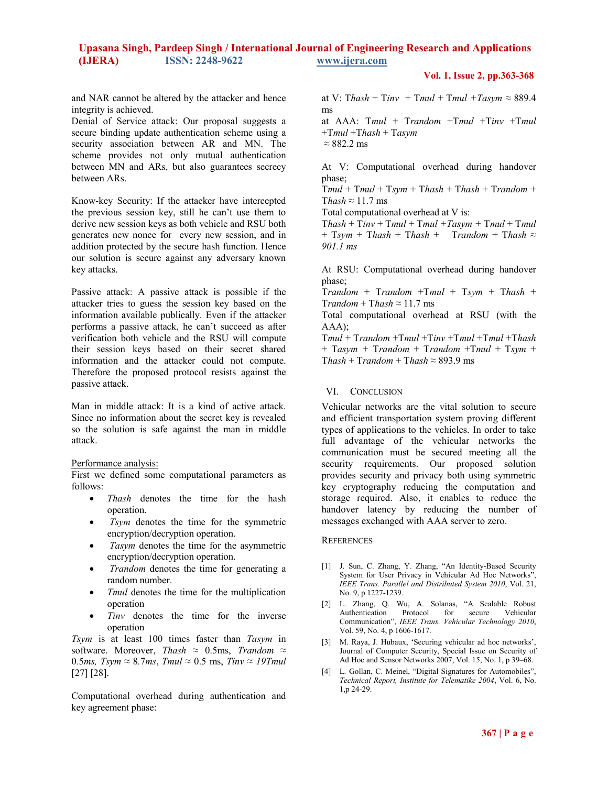#### **Vol. 1, Issue 2, pp.363-368**

and NAR cannot be altered by the attacker and hence integrity is achieved.

Denial of Service attack: Our proposal suggests a secure binding update authentication scheme using a security association between AR and MN. The scheme provides not only mutual authentication between MN and ARs, but also guarantees secrecy between ARs.

Know-key Security: If the attacker have intercepted the previous session key, still he can't use them to derive new session keys as both vehicle and RSU both generates new nonce for every new session, and in addition protected by the secure hash function. Hence our solution is secure against any adversary known key attacks.

Passive attack: A passive attack is possible if the attacker tries to guess the session key based on the information available publically. Even if the attacker performs a passive attack, he can't succeed as after verification both vehicle and the RSU will compute their session keys based on their secret shared information and the attacker could not compute. Therefore the proposed protocol resists against the passive attack.

Man in middle attack: It is a kind of active attack. Since no information about the secret key is revealed so the solution is safe against the man in middle attack.

Performance analysis:

First we defined some computational parameters as follows:

- *Thash* denotes the time for the hash operation.
- *Tsym* denotes the time for the symmetric encryption/decryption operation.
- *Tasym* denotes the time for the asymmetric encryption/decryption operation.
- • *Trandom* denotes the time for generating a random number.
- *Tmul* denotes the time for the multiplication operation
- *Tinv* denotes the time for the inverse operation

*Tsym* is at least 100 times faster than *Tasym* in software. Moreover, *Thash ≈* 0.5ms, *Trandom ≈*  0.5*ms, Tsym*  $\approx$  8.7*ms, Tmul*  $\approx$  0.5 ms, *Tiny*  $\approx$  19*Tmul* [27] [28].

Computational overhead during authentication and key agreement phase:

at V: Thash + Tinv + Tmul + Tmul + Tasym  $\approx 889.4$ ms

at AAA: T*mul* + T*random* +T*mul* +T*inv* +T*mul* +T*mul* +T*hash* + T*asym ≈* 882.2 ms

At V: Computational overhead during handover phase;

T*mul* + T*mul* + T*sym* + T*hash* + T*hash* + T*random* + T*hash ≈* 11.7 ms

Total computational overhead at V is:

 $Thash + Timv + Tmul + Tmul + Tasym + Tmul + Tmul$  $+$  Tsym + Thash + Thash + Trandom + Thash  $\approx$ *901.1 ms* 

At RSU: Computational overhead during handover phase;

T*random* + T*random* +T*mul* + T*sym* + T*hash* +  $Trandom + Thash \approx 11.7$  ms

Total computational overhead at RSU (with the AAA);

T*mul* + T*random* +T*mul* +T*inv* +T*mul* +T*mul* +T*hash* + T*asym +* T*random* + T*random* +T*mul* + T*sym* + T*hash* + T*random* + T*hash ≈* 893.9 ms

#### VI. CONCLUSION

Vehicular networks are the vital solution to secure and efficient transportation system proving different types of applications to the vehicles. In order to take full advantage of the vehicular networks the communication must be secured meeting all the security requirements. Our proposed solution provides security and privacy both using symmetric key cryptography reducing the computation and storage required. Also, it enables to reduce the handover latency by reducing the number of messages exchanged with AAA server to zero.

#### **REFERENCES**

- [1] J. Sun, C. Zhang, Y. Zhang, "An Identity-Based Security System for User Privacy in Vehicular Ad Hoc Networks", *IEEE Trans. Parallel and Distributed System 2010*, Vol. 21, No. 9, p 1227-1239.
- [2] L. Zhang, Q. Wu, A. Solanas, "A Scalable Robust Authentication Protocol for secure Vehicular Communication", *IEEE Trans. Vehicular Technology 2010*, Vol. 59, No. 4, p 1606-1617.
- [3] M. Raya, J. Hubaux, 'Securing vehicular ad hoc networks', Journal of Computer Security, Special Issue on Security of Ad Hoc and Sensor Networks 2007, Vol. 15, No. 1, p 39–68.
- [4] L. Gollan, C. Meinel, "Digital Signatures for Automobiles", *Technical Report, Institute for Telematike 2004*, Vol. 6, No. 1,p 24-29.